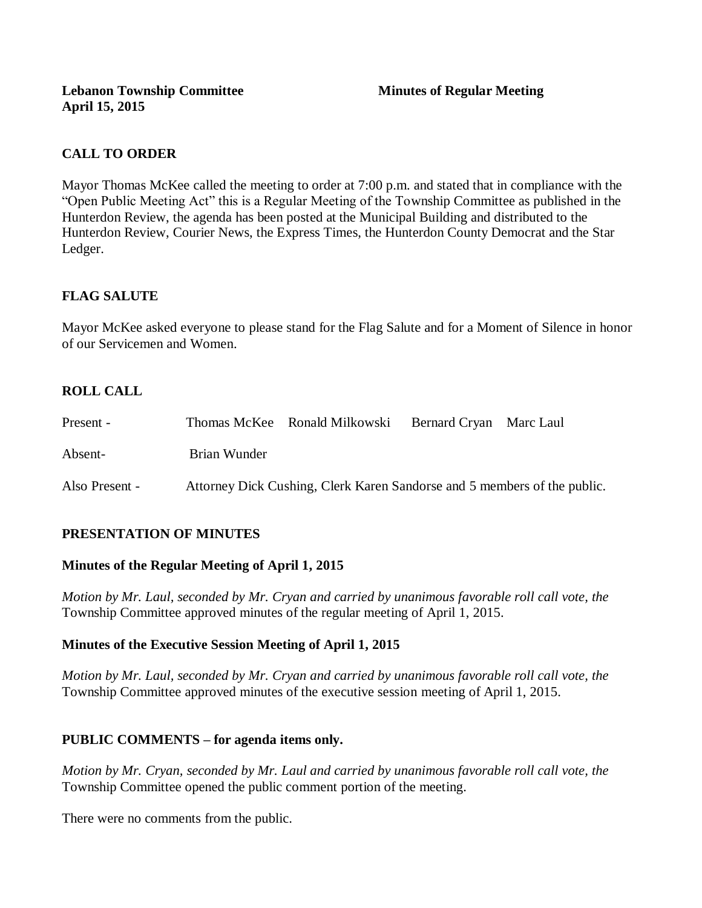# **CALL TO ORDER**

Mayor Thomas McKee called the meeting to order at 7:00 p.m. and stated that in compliance with the "Open Public Meeting Act" this is a Regular Meeting of the Township Committee as published in the Hunterdon Review, the agenda has been posted at the Municipal Building and distributed to the Hunterdon Review, Courier News, the Express Times, the Hunterdon County Democrat and the Star Ledger.

# **FLAG SALUTE**

Mayor McKee asked everyone to please stand for the Flag Salute and for a Moment of Silence in honor of our Servicemen and Women.

# **ROLL CALL**

| Present -      |                                                                          | Thomas McKee Ronald Milkowski | Bernard Cryan Marc Laul |  |
|----------------|--------------------------------------------------------------------------|-------------------------------|-------------------------|--|
| Absent-        | Brian Wunder                                                             |                               |                         |  |
| Also Present - | Attorney Dick Cushing, Clerk Karen Sandorse and 5 members of the public. |                               |                         |  |

# **PRESENTATION OF MINUTES**

# **Minutes of the Regular Meeting of April 1, 2015**

*Motion by Mr. Laul, seconded by Mr. Cryan and carried by unanimous favorable roll call vote, the*  Township Committee approved minutes of the regular meeting of April 1, 2015.

# **Minutes of the Executive Session Meeting of April 1, 2015**

*Motion by Mr. Laul, seconded by Mr. Cryan and carried by unanimous favorable roll call vote, the*  Township Committee approved minutes of the executive session meeting of April 1, 2015.

# **PUBLIC COMMENTS – for agenda items only.**

*Motion by Mr. Cryan, seconded by Mr. Laul and carried by unanimous favorable roll call vote, the* Township Committee opened the public comment portion of the meeting.

There were no comments from the public.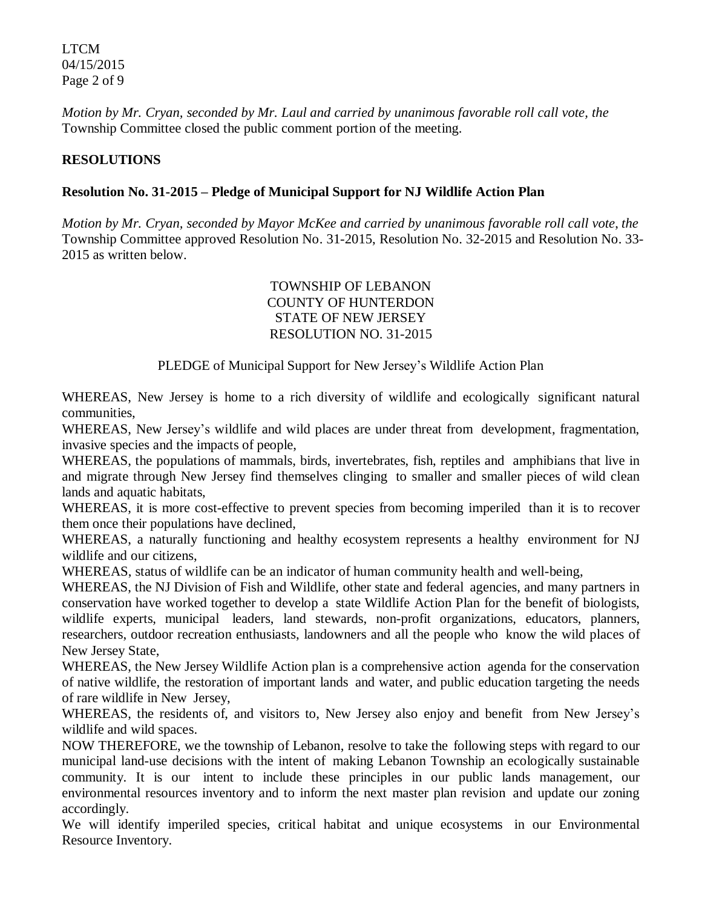LTCM 04/15/2015 Page 2 of 9

*Motion by Mr. Cryan, seconded by Mr. Laul and carried by unanimous favorable roll call vote, the* Township Committee closed the public comment portion of the meeting.

#### **RESOLUTIONS**

#### **Resolution No. 31-2015 – Pledge of Municipal Support for NJ Wildlife Action Plan**

*Motion by Mr. Cryan, seconded by Mayor McKee and carried by unanimous favorable roll call vote*, *the* Township Committee approved Resolution No. 31-2015, Resolution No. 32-2015 and Resolution No. 33- 2015 as written below.

# TOWNSHIP OF LEBANON COUNTY OF HUNTERDON STATE OF NEW JERSEY RESOLUTION NO. 31-2015

PLEDGE of Municipal Support for New Jersey's Wildlife Action Plan

WHEREAS, New Jersey is home to a rich diversity of wildlife and ecologically significant natural communities,

WHEREAS, New Jersey's wildlife and wild places are under threat from development, fragmentation, invasive species and the impacts of people,

WHEREAS, the populations of mammals, birds, invertebrates, fish, reptiles and amphibians that live in and migrate through New Jersey find themselves clinging to smaller and smaller pieces of wild clean lands and aquatic habitats,

WHEREAS, it is more cost-effective to prevent species from becoming imperiled than it is to recover them once their populations have declined,

WHEREAS, a naturally functioning and healthy ecosystem represents a healthy environment for NJ wildlife and our citizens,

WHEREAS, status of wildlife can be an indicator of human community health and well-being,

WHEREAS, the NJ Division of Fish and Wildlife, other state and federal agencies, and many partners in conservation have worked together to develop a state Wildlife Action Plan for the benefit of biologists, wildlife experts, municipal leaders, land stewards, non-profit organizations, educators, planners, researchers, outdoor recreation enthusiasts, landowners and all the people who know the wild places of New Jersey State,

WHEREAS, the New Jersey Wildlife Action plan is a comprehensive action agenda for the conservation of native wildlife, the restoration of important lands and water, and public education targeting the needs of rare wildlife in New Jersey,

WHEREAS, the residents of, and visitors to, New Jersey also enjoy and benefit from New Jersey's wildlife and wild spaces.

NOW THEREFORE, we the township of Lebanon, resolve to take the following steps with regard to our municipal land-use decisions with the intent of making Lebanon Township an ecologically sustainable community. It is our intent to include these principles in our public lands management, our environmental resources inventory and to inform the next master plan revision and update our zoning accordingly.

We will identify imperiled species, critical habitat and unique ecosystems in our Environmental Resource Inventory.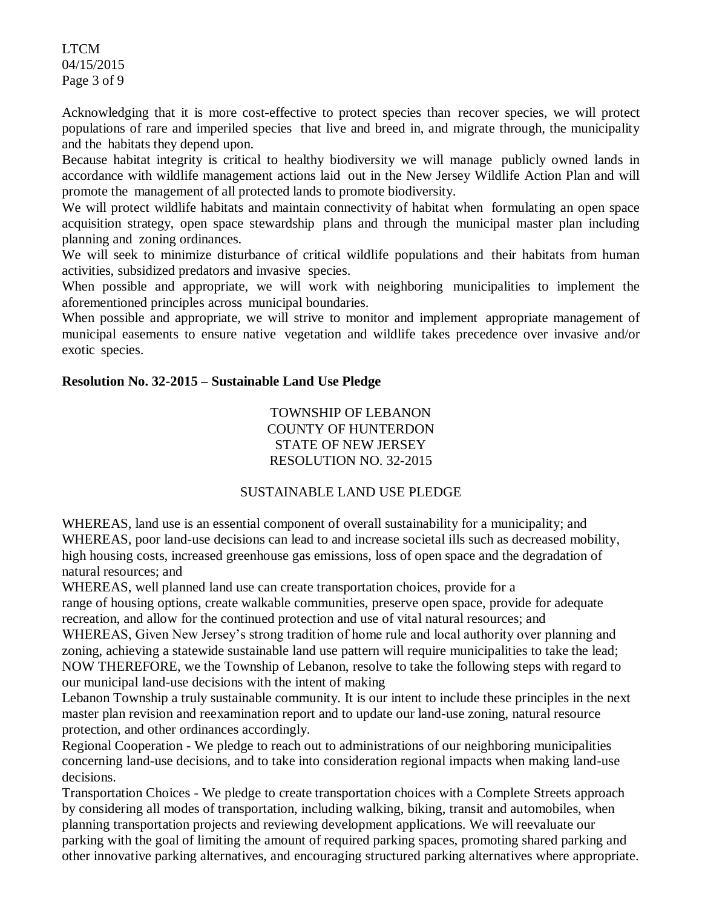LTCM 04/15/2015 Page 3 of 9

Acknowledging that it is more cost-effective to protect species than recover species, we will protect populations of rare and imperiled species that live and breed in, and migrate through, the municipality and the habitats they depend upon.

Because habitat integrity is critical to healthy biodiversity we will manage publicly owned lands in accordance with wildlife management actions laid out in the New Jersey Wildlife Action Plan and will promote the management of all protected lands to promote biodiversity.

We will protect wildlife habitats and maintain connectivity of habitat when formulating an open space acquisition strategy, open space stewardship plans and through the municipal master plan including planning and zoning ordinances.

We will seek to minimize disturbance of critical wildlife populations and their habitats from human activities, subsidized predators and invasive species.

When possible and appropriate, we will work with neighboring municipalities to implement the aforementioned principles across municipal boundaries.

When possible and appropriate, we will strive to monitor and implement appropriate management of municipal easements to ensure native vegetation and wildlife takes precedence over invasive and/or exotic species.

#### **Resolution No. 32-2015 – Sustainable Land Use Pledge**

TOWNSHIP OF LEBANON COUNTY OF HUNTERDON STATE OF NEW JERSEY RESOLUTION NO. 32-2015

#### SUSTAINABLE LAND USE PLEDGE

WHEREAS, land use is an essential component of overall sustainability for a municipality; and WHEREAS, poor land-use decisions can lead to and increase societal ills such as decreased mobility, high housing costs, increased greenhouse gas emissions, loss of open space and the degradation of natural resources; and

WHEREAS, well planned land use can create transportation choices, provide for a

range of housing options, create walkable communities, preserve open space, provide for adequate recreation, and allow for the continued protection and use of vital natural resources; and

WHEREAS, Given New Jersey's strong tradition of home rule and local authority over planning and zoning, achieving a statewide sustainable land use pattern will require municipalities to take the lead; NOW THEREFORE, we the Township of Lebanon, resolve to take the following steps with regard to our municipal land-use decisions with the intent of making

Lebanon Township a truly sustainable community. It is our intent to include these principles in the next master plan revision and reexamination report and to update our land-use zoning, natural resource protection, and other ordinances accordingly.

Regional Cooperation - We pledge to reach out to administrations of our neighboring municipalities concerning land-use decisions, and to take into consideration regional impacts when making land-use decisions.

Transportation Choices - We pledge to create transportation choices with a Complete Streets approach by considering all modes of transportation, including walking, biking, transit and automobiles, when planning transportation projects and reviewing development applications. We will reevaluate our parking with the goal of limiting the amount of required parking spaces, promoting shared parking and other innovative parking alternatives, and encouraging structured parking alternatives where appropriate.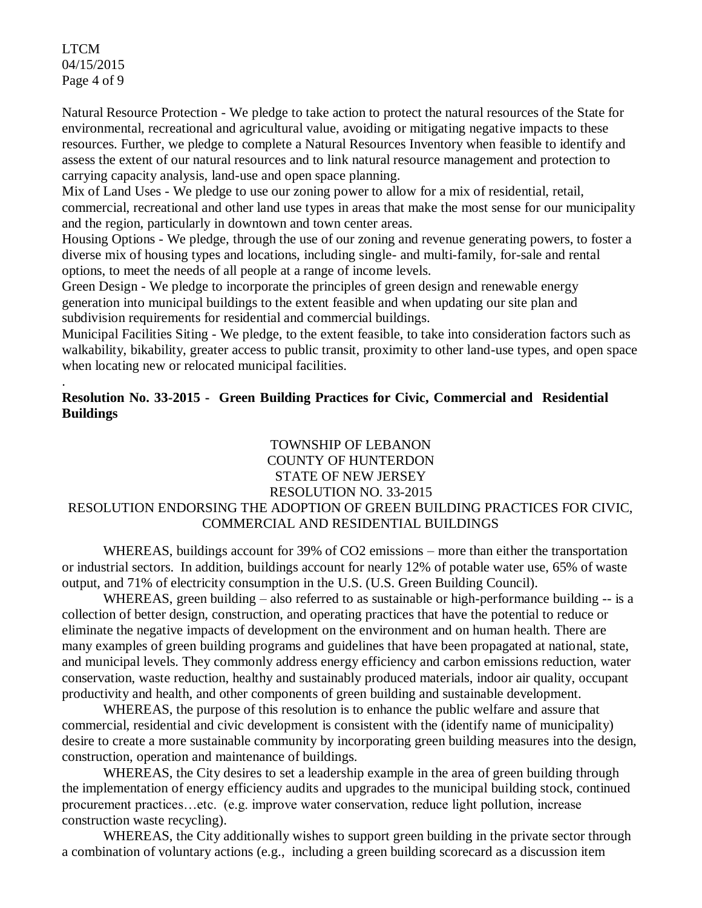LTCM 04/15/2015 Page 4 of 9

.

Natural Resource Protection - We pledge to take action to protect the natural resources of the State for environmental, recreational and agricultural value, avoiding or mitigating negative impacts to these resources. Further, we pledge to complete a Natural Resources Inventory when feasible to identify and assess the extent of our natural resources and to link natural resource management and protection to carrying capacity analysis, land-use and open space planning.

Mix of Land Uses - We pledge to use our zoning power to allow for a mix of residential, retail, commercial, recreational and other land use types in areas that make the most sense for our municipality and the region, particularly in downtown and town center areas.

Housing Options - We pledge, through the use of our zoning and revenue generating powers, to foster a diverse mix of housing types and locations, including single- and multi-family, for-sale and rental options, to meet the needs of all people at a range of income levels.

Green Design - We pledge to incorporate the principles of green design and renewable energy generation into municipal buildings to the extent feasible and when updating our site plan and subdivision requirements for residential and commercial buildings.

Municipal Facilities Siting - We pledge, to the extent feasible, to take into consideration factors such as walkability, bikability, greater access to public transit, proximity to other land-use types, and open space when locating new or relocated municipal facilities.

# **Resolution No. 33-2015 - Green Building Practices for Civic, Commercial and Residential Buildings**

# TOWNSHIP OF LEBANON COUNTY OF HUNTERDON STATE OF NEW JERSEY RESOLUTION NO. 33-2015 RESOLUTION ENDORSING THE ADOPTION OF GREEN BUILDING PRACTICES FOR CIVIC, COMMERCIAL AND RESIDENTIAL BUILDINGS

WHEREAS, buildings account for 39% of CO2 emissions – more than either the transportation or industrial sectors. In addition, buildings account for nearly 12% of potable water use, 65% of waste output, and 71% of electricity consumption in the U.S. (U.S. Green Building Council).

WHEREAS, green building – also referred to as sustainable or high-performance building -- is a collection of better design, construction, and operating practices that have the potential to reduce or eliminate the negative impacts of development on the environment and on human health. There are many examples of green building programs and guidelines that have been propagated at national, state, and municipal levels. They commonly address energy efficiency and carbon emissions reduction, water conservation, waste reduction, healthy and sustainably produced materials, indoor air quality, occupant productivity and health, and other components of green building and sustainable development.

WHEREAS, the purpose of this resolution is to enhance the public welfare and assure that commercial, residential and civic development is consistent with the (identify name of municipality) desire to create a more sustainable community by incorporating green building measures into the design, construction, operation and maintenance of buildings.

WHEREAS, the City desires to set a leadership example in the area of green building through the implementation of energy efficiency audits and upgrades to the municipal building stock, continued procurement practices…etc. (e.g. improve water conservation, reduce light pollution, increase construction waste recycling).

WHEREAS, the City additionally wishes to support green building in the private sector through a combination of voluntary actions (e.g., including a green building scorecard as a discussion item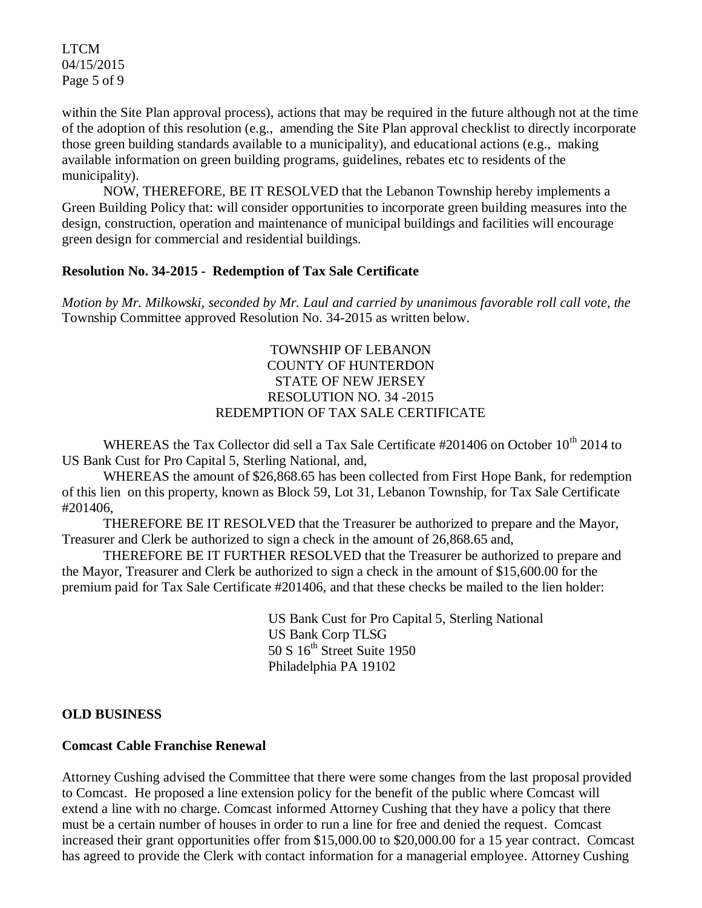LTCM 04/15/2015 Page 5 of 9

within the Site Plan approval process), actions that may be required in the future although not at the time of the adoption of this resolution (e.g., amending the Site Plan approval checklist to directly incorporate those green building standards available to a municipality), and educational actions (e.g., making available information on green building programs, guidelines, rebates etc to residents of the municipality).

NOW, THEREFORE, BE IT RESOLVED that the Lebanon Township hereby implements a Green Building Policy that: will consider opportunities to incorporate green building measures into the design, construction, operation and maintenance of municipal buildings and facilities will encourage green design for commercial and residential buildings.

#### **Resolution No. 34-2015 - Redemption of Tax Sale Certificate**

*Motion by Mr. Milkowski, seconded by Mr. Laul and carried by unanimous favorable roll call vote*, *the* Township Committee approved Resolution No. 34-2015 as written below.

# TOWNSHIP OF LEBANON COUNTY OF HUNTERDON STATE OF NEW JERSEY RESOLUTION NO. 34 -2015 REDEMPTION OF TAX SALE CERTIFICATE

WHEREAS the Tax Collector did sell a Tax Sale Certificate #201406 on October 10<sup>th</sup> 2014 to US Bank Cust for Pro Capital 5, Sterling National, and,

WHEREAS the amount of \$26,868.65 has been collected from First Hope Bank, for redemption of this lien on this property, known as Block 59, Lot 31, Lebanon Township, for Tax Sale Certificate #201406,

THEREFORE BE IT RESOLVED that the Treasurer be authorized to prepare and the Mayor, Treasurer and Clerk be authorized to sign a check in the amount of 26,868.65 and,

THEREFORE BE IT FURTHER RESOLVED that the Treasurer be authorized to prepare and the Mayor, Treasurer and Clerk be authorized to sign a check in the amount of \$15,600.00 for the premium paid for Tax Sale Certificate #201406, and that these checks be mailed to the lien holder:

> US Bank Cust for Pro Capital 5, Sterling National US Bank Corp TLSG  $50 S 16<sup>th</sup> Street Suite 1950$ Philadelphia PA 19102

#### **OLD BUSINESS**

#### **Comcast Cable Franchise Renewal**

Attorney Cushing advised the Committee that there were some changes from the last proposal provided to Comcast. He proposed a line extension policy for the benefit of the public where Comcast will extend a line with no charge. Comcast informed Attorney Cushing that they have a policy that there must be a certain number of houses in order to run a line for free and denied the request. Comcast increased their grant opportunities offer from \$15,000.00 to \$20,000.00 for a 15 year contract. Comcast has agreed to provide the Clerk with contact information for a managerial employee. Attorney Cushing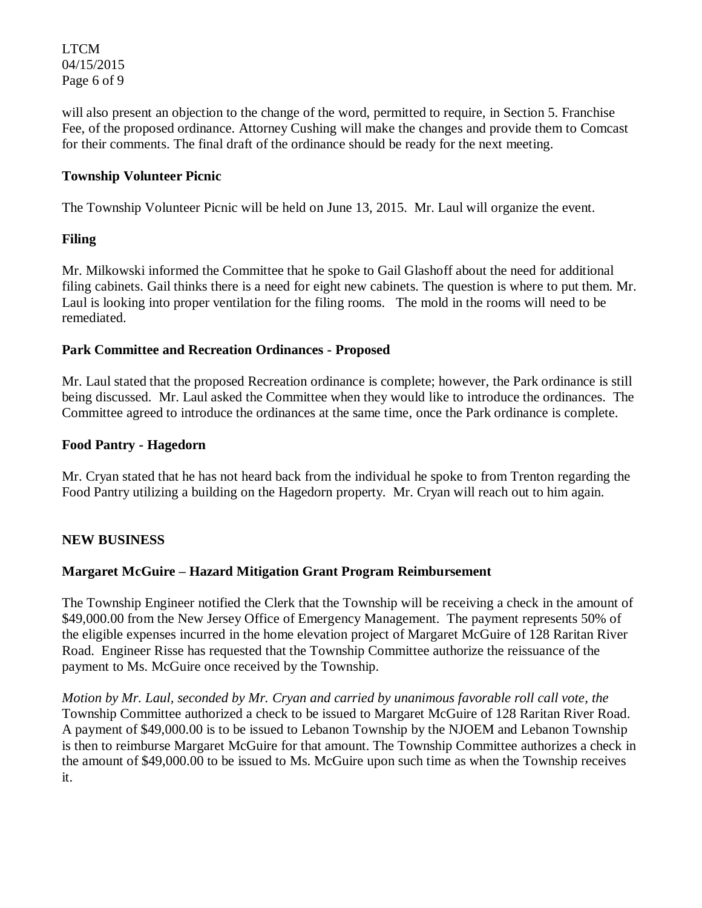LTCM 04/15/2015 Page 6 of 9

will also present an objection to the change of the word, permitted to require, in Section 5. Franchise Fee, of the proposed ordinance. Attorney Cushing will make the changes and provide them to Comcast for their comments. The final draft of the ordinance should be ready for the next meeting.

### **Township Volunteer Picnic**

The Township Volunteer Picnic will be held on June 13, 2015. Mr. Laul will organize the event.

# **Filing**

Mr. Milkowski informed the Committee that he spoke to Gail Glashoff about the need for additional filing cabinets. Gail thinks there is a need for eight new cabinets. The question is where to put them. Mr. Laul is looking into proper ventilation for the filing rooms. The mold in the rooms will need to be remediated.

#### **Park Committee and Recreation Ordinances - Proposed**

Mr. Laul stated that the proposed Recreation ordinance is complete; however, the Park ordinance is still being discussed. Mr. Laul asked the Committee when they would like to introduce the ordinances. The Committee agreed to introduce the ordinances at the same time, once the Park ordinance is complete.

#### **Food Pantry - Hagedorn**

Mr. Cryan stated that he has not heard back from the individual he spoke to from Trenton regarding the Food Pantry utilizing a building on the Hagedorn property. Mr. Cryan will reach out to him again.

# **NEW BUSINESS**

# **Margaret McGuire – Hazard Mitigation Grant Program Reimbursement**

The Township Engineer notified the Clerk that the Township will be receiving a check in the amount of \$49,000.00 from the New Jersey Office of Emergency Management. The payment represents 50% of the eligible expenses incurred in the home elevation project of Margaret McGuire of 128 Raritan River Road. Engineer Risse has requested that the Township Committee authorize the reissuance of the payment to Ms. McGuire once received by the Township.

*Motion by Mr. Laul, seconded by Mr. Cryan and carried by unanimous favorable roll call vote, the* Township Committee authorized a check to be issued to Margaret McGuire of 128 Raritan River Road. A payment of \$49,000.00 is to be issued to Lebanon Township by the NJOEM and Lebanon Township is then to reimburse Margaret McGuire for that amount. The Township Committee authorizes a check in the amount of \$49,000.00 to be issued to Ms. McGuire upon such time as when the Township receives it.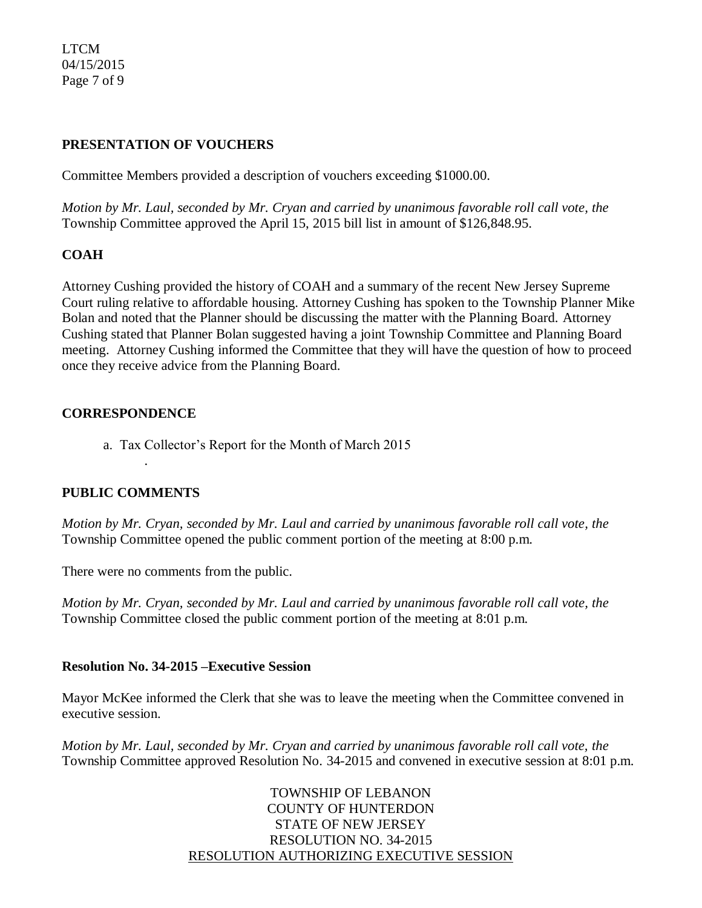LTCM 04/15/2015 Page 7 of 9

#### **PRESENTATION OF VOUCHERS**

Committee Members provided a description of vouchers exceeding \$1000.00.

*Motion by Mr. Laul, seconded by Mr. Cryan and carried by unanimous favorable roll call vote, the* Township Committee approved the April 15, 2015 bill list in amount of \$126,848.95.

# **COAH**

Attorney Cushing provided the history of COAH and a summary of the recent New Jersey Supreme Court ruling relative to affordable housing. Attorney Cushing has spoken to the Township Planner Mike Bolan and noted that the Planner should be discussing the matter with the Planning Board. Attorney Cushing stated that Planner Bolan suggested having a joint Township Committee and Planning Board meeting. Attorney Cushing informed the Committee that they will have the question of how to proceed once they receive advice from the Planning Board.

#### **CORRESPONDENCE**

a. Tax Collector's Report for the Month of March 2015

#### **PUBLIC COMMENTS**

.

*Motion by Mr. Cryan, seconded by Mr. Laul and carried by unanimous favorable roll call vote, the* Township Committee opened the public comment portion of the meeting at 8:00 p.m.

There were no comments from the public.

*Motion by Mr. Cryan, seconded by Mr. Laul and carried by unanimous favorable roll call vote, the* Township Committee closed the public comment portion of the meeting at 8:01 p.m.

#### **Resolution No. 34-2015 –Executive Session**

Mayor McKee informed the Clerk that she was to leave the meeting when the Committee convened in executive session.

*Motion by Mr. Laul, seconded by Mr. Cryan and carried by unanimous favorable roll call vote, the* Township Committee approved Resolution No. 34-2015 and convened in executive session at 8:01 p.m.

> TOWNSHIP OF LEBANON COUNTY OF HUNTERDON STATE OF NEW JERSEY RESOLUTION NO. 34-2015 RESOLUTION AUTHORIZING EXECUTIVE SESSION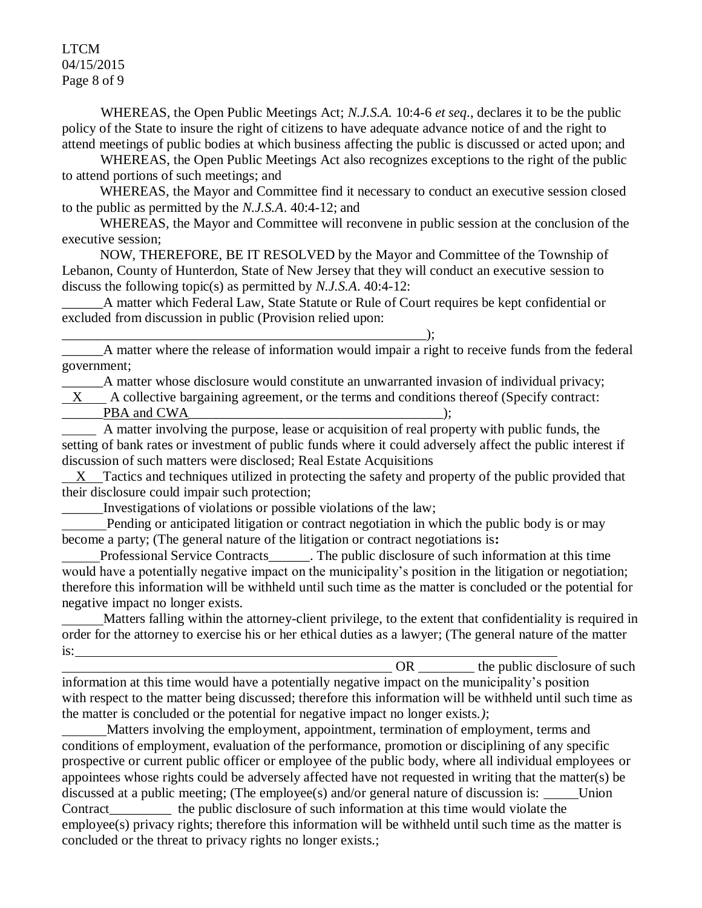LTCM 04/15/2015 Page 8 of 9

WHEREAS, the Open Public Meetings Act; *N.J.S.A.* 10:4-6 *et seq*., declares it to be the public policy of the State to insure the right of citizens to have adequate advance notice of and the right to attend meetings of public bodies at which business affecting the public is discussed or acted upon; and

WHEREAS, the Open Public Meetings Act also recognizes exceptions to the right of the public to attend portions of such meetings; and

 WHEREAS, the Mayor and Committee find it necessary to conduct an executive session closed to the public as permitted by the *N.J.S.A*. 40:4-12; and

 WHEREAS, the Mayor and Committee will reconvene in public session at the conclusion of the executive session;

 NOW, THEREFORE, BE IT RESOLVED by the Mayor and Committee of the Township of Lebanon, County of Hunterdon, State of New Jersey that they will conduct an executive session to discuss the following topic(s) as permitted by *N.J.S.A*. 40:4-12:

A matter which Federal Law, State Statute or Rule of Court requires be kept confidential or excluded from discussion in public (Provision relied upon:

\_\_\_\_\_\_A matter where the release of information would impair a right to receive funds from the federal government;

\_\_\_\_\_\_A matter whose disclosure would constitute an unwarranted invasion of individual privacy; X A collective bargaining agreement, or the terms and conditions thereof (Specify contract:

\_\_\_\_\_\_PBA and CWA\_\_\_\_\_\_\_\_\_\_\_\_\_\_\_\_\_\_\_\_\_\_\_\_\_\_\_\_\_\_\_\_\_\_\_\_\_);

\_\_\_\_\_\_\_\_\_\_\_\_\_\_\_\_\_\_\_\_\_\_\_\_\_\_\_\_\_\_\_\_\_\_\_\_\_\_\_\_\_\_\_\_\_\_\_\_\_\_\_\_\_);

 A matter involving the purpose, lease or acquisition of real property with public funds, the setting of bank rates or investment of public funds where it could adversely affect the public interest if discussion of such matters were disclosed; Real Estate Acquisitions

 $X$  Tactics and techniques utilized in protecting the safety and property of the public provided that their disclosure could impair such protection;

\_\_\_\_\_\_Investigations of violations or possible violations of the law;

 Pending or anticipated litigation or contract negotiation in which the public body is or may become a party; (The general nature of the litigation or contract negotiations is**:**

Professional Service Contracts The public disclosure of such information at this time would have a potentially negative impact on the municipality's position in the litigation or negotiation; therefore this information will be withheld until such time as the matter is concluded or the potential for negative impact no longer exists.

 Matters falling within the attorney-client privilege, to the extent that confidentiality is required in order for the attorney to exercise his or her ethical duties as a lawyer; (The general nature of the matter is:

OR the public disclosure of such  $\theta$ information at this time would have a potentially negative impact on the municipality's position with respect to the matter being discussed; therefore this information will be withheld until such time as the matter is concluded or the potential for negative impact no longer exists.*)*;

 Matters involving the employment, appointment, termination of employment, terms and conditions of employment, evaluation of the performance, promotion or disciplining of any specific prospective or current public officer or employee of the public body, where all individual employees or appointees whose rights could be adversely affected have not requested in writing that the matter(s) be discussed at a public meeting; (The employee(s) and/or general nature of discussion is:  $\qquad$  Union Contract the public disclosure of such information at this time would violate the employee(s) privacy rights; therefore this information will be withheld until such time as the matter is concluded or the threat to privacy rights no longer exists.;